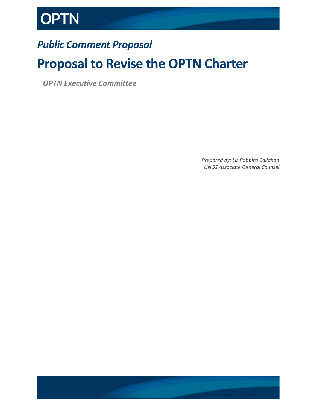

## *Public Comment Proposal*

## **Proposal to Revise the OPTN Charter**

*OPTN Executive Committee*

*Prepared by: Liz Robbins Callahan UNOS Associate General Counsel*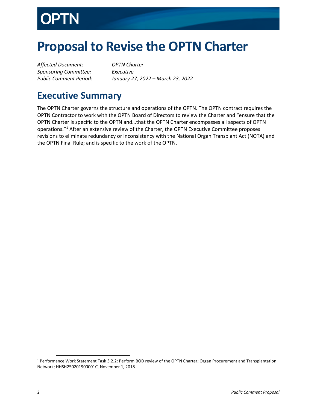

# **Proposal to Revise the OPTN Charter**

*Affected Document: OPTN Charter Sponsoring Committee: Executive*

*Public Comment Period: January 27, 2022 – March 23, 2022*

#### **Executive Summary**

The OPTN Charter governs the structure and operations of the OPTN. The OPTN contract requires the OPTN Contractor to work with the OPTN Board of Directors to review the Charter and "ensure that the OPTN Charter is specific to the OPTN and…that the OPTN Charter encompasses all aspects of OPTN operations."[1](#page-1-0) After an extensive review of the Charter, the OPTN Executive Committee proposes revisions to eliminate redundancy or inconsistency with the National Organ Transplant Act (NOTA) and the OPTN Final Rule; and is specific to the work of the OPTN.

<span id="page-1-0"></span> <sup>1</sup> Performance Work Statement Task 3.2.2: Perform BOD review of the OPTN Charter; Organ Procurement and Transplantation Network; HHSH250201900001C, November 1, 2018.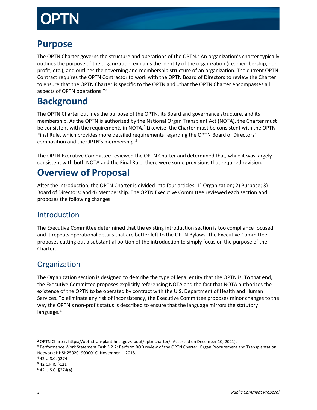#### **Purpose**

The OPTN Charter governs the structure and operations of the OPTN.<sup>[2](#page-2-0)</sup> An organization's charter typically outlines the purpose of the organization, explains the identity of the organization (i.e. membership, nonprofit, etc.), and outlines the governing and membership structure of an organization. The current OPTN Contract requires the OPTN Contractor to work with the OPTN Board of Directors to review the Charter to ensure that the OPTN Charter is specific to the OPTN and…that the OPTN Charter encompasses all aspects of OPTN operations."[3](#page-2-1)

#### **Background**

The OPTN Charter outlines the purpose of the OPTN, its Board and governance structure, and its membership. As the OPTN is authorized by the National Organ Transplant Act (NOTA), the Charter must be consistent with the requirements in NOTA.<sup>4</sup> Likewise, the Charter must be consistent with the OPTN Final Rule, which provides more detailed requirements regarding the OPTN Board of Directors' composition and the OPTN's membership.<sup>5</sup>

The OPTN Executive Committee reviewed the OPTN Charter and determined that, while it was largely consistent with both NOTA and the Final Rule, there were some provisions that required revision.

#### **Overview of Proposal**

After the introduction, the OPTN Charter is divided into four articles: 1) Organization; 2) Purpose; 3) Board of Directors; and 4) Membership. The OPTN Executive Committee reviewed each section and proposes the following changes.

#### Introduction

The Executive Committee determined that the existing introduction section is too compliance focused, and it repeats operational details that are better left to the OPTN Bylaws. The Executive Committee proposes cutting out a substantial portion of the introduction to simply focus on the purpose of the Charter.

#### **Organization**

The Organization section is designed to describe the type of legal entity that the OPTN is. To that end, the Executive Committee proposes explicitly referencing NOTA and the fact that NOTA authorizes the existence of the OPTN to be operated by contract with the U.S. Department of Health and Human Services. To eliminate any risk of inconsistency, the Executive Committee proposes minor changes to the way the OPTN's non-profit status is described to ensure that the language mirrors the statutory language.<sup>[6](#page-2-4)</sup>

<span id="page-2-1"></span><span id="page-2-0"></span><sup>&</sup>lt;sup>2</sup> OPTN Charter. https://optn.transplant.hrsa.gov/about/optn-charter/ (Accessed on December 10, 2021).<br><sup>3</sup> Performance Work Statement Task 3.2.2: Perform BOD review of the OPTN Charter; Organ Procurement and Transplantati Network; HHSH250201900001C, November 1, 2018.

<span id="page-2-2"></span><sup>4</sup> 42 U.S.C. §274

<span id="page-2-3"></span><sup>5</sup> 42 C.F.R. §121

<span id="page-2-4"></span><sup>6</sup> 42 U.S.C. §274(a)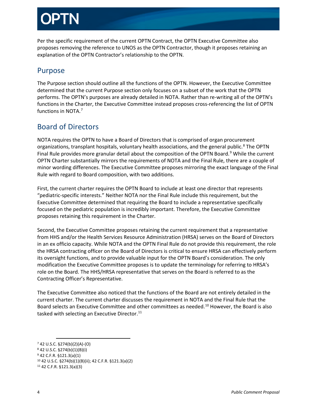Per the specific requirement of the current OPTN Contract, the OPTN Executive Committee also proposes removing the reference to UNOS as the OPTN Contractor, though it proposes retaining an explanation of the OPTN Contractor's relationship to the OPTN.

#### Purpose

The Purpose section should outline all the functions of the OPTN. However, the Executive Committee determined that the current Purpose section only focuses on a subset of the work that the OPTN performs. The OPTN's purposes are already detailed in NOTA. Rather than re-writing all of the OPTN's functions in the Charter, the Executive Committee instead proposes cross-referencing the list of OPTN functions in NOTA.[7](#page-3-0)

#### Board of Directors

NOTA requires the OPTN to have a Board of Directors that is comprised of organ procurement organizations, transplant hospitals, voluntary health associations, and the general public.<sup>[8](#page-3-1)</sup> The OPTN Final Rule provides more granular detail about the composition of the OPTN Board.<sup>[9](#page-3-2)</sup> While the current OPTN Charter substantially mirrors the requirements of NOTA and the Final Rule, there are a couple of minor wording differences. The Executive Committee proposes mirroring the exact language of the Final Rule with regard to Board composition, with two additions.

First, the current charter requires the OPTN Board to include at least one director that represents "pediatric-specific interests." Neither NOTA nor the Final Rule include this requirement, but the Executive Committee determined that requiring the Board to include a representative specifically focused on the pediatric population is incredibly important. Therefore, the Executive Committee proposes retaining this requirement in the Charter.

Second, the Executive Committee proposes retaining the current requirement that a representative from HHS and/or the Health Services Resource Administration (HRSA) serves on the Board of Directors in an ex officio capacity. While NOTA and the OPTN Final Rule do not provide this requirement, the role the HRSA contracting officer on the Board of Directors is critical to ensure HRSA can effectively perform its oversight functions, and to provide valuable input for the OPTN Board's consideration. The only modification the Executive Committee proposes is to update the terminology for referring to HRSA's role on the Board. The HHS/HRSA representative that serves on the Board is referred to as the Contracting Officer's Representative.

The Executive Committee also noticed that the functions of the Board are not entirely detailed in the current charter. The current charter discusses the requirement in NOTA and the Final Rule that the Board selects an Executive Committee and other committees as needed. [10](#page-3-3) However, the Board is also tasked with selecting an Executive Director.<sup>11</sup>

<span id="page-3-1"></span><span id="page-3-0"></span> <sup>7</sup> 42 U.S.C. §274(b)(2)(A)-(O) <sup>8</sup> 42 U.S.C. §274(b)(1)(B)(i)

<sup>9</sup> 42 C.F.R. §121.3(a)(1)

<span id="page-3-3"></span><span id="page-3-2"></span><sup>10</sup> 42 U.S.C. §274(b)(1)(B)(ii); 42 C.F.R. §121.3(a)(2)

<span id="page-3-4"></span><sup>11</sup> 42 C.F.R. §121.3(a)(3)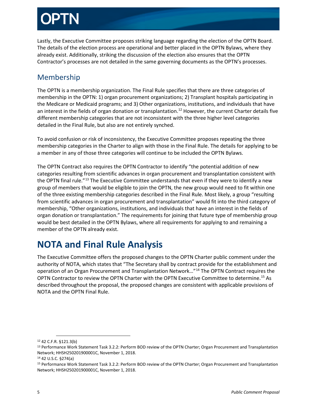Lastly, the Executive Committee proposes striking language regarding the election of the OPTN Board. The details of the election process are operational and better placed in the OPTN Bylaws, where they already exist. Additionally, striking the discussion of the election also ensures that the OPTN Contractor's processes are not detailed in the same governing documents as the OPTN's processes.

#### Membership

The OPTN is a membership organization. The Final Rule specifies that there are three categories of membership in the OPTN: 1) organ procurement organizations; 2) Transplant hospitals participating in the Medicare or Medicaid programs; and 3) Other organizations, institutions, and individuals that have an interest in the fields of organ donation or transplantation.<sup>[12](#page-4-0)</sup> However, the current Charter details five different membership categories that are not inconsistent with the three higher level categories detailed in the Final Rule, but also are not entirely synched.

To avoid confusion or risk of inconsistency, the Executive Committee proposes repeating the three membership categories in the Charter to align with those in the Final Rule. The details for applying to be a member in any of those three categories will continue to be included the OPTN Bylaws.

The OPTN Contract also requires the OPTN Contractor to identify "the potential addition of new categories resulting from scientific advances in organ procurement and transplantation consistent with the OPTN final rule."<sup>[13](#page-4-1)</sup> The Executive Committee understands that even if they were to identify a new group of members that would be eligible to join the OPTN, the new group would need to fit within one of the three existing membership categories described in the Final Rule. Most likely, a group "resulting from scientific advances in organ procurement and transplantation" would fit into the third category of membership, "Other organizations, institutions, and individuals that have an interest in the fields of organ donation or transplantation." The requirements for joining that future type of membership group would be best detailed in the OPTN Bylaws, where all requirements for applying to and remaining a member of the OPTN already exist.

### **NOTA and Final Rule Analysis**

The Executive Committee offers the proposed changes to the OPTN Charter public comment under the authority of NOTA, which states that "The Secretary shall by contract provide for the establishment and operation of an Organ Procurement and Transplantation Network…"[14](#page-4-2) The OPTN Contract requires the OPTN Contractor to review the OPTN Charter with the OPTN Executive Committee to determine.[15](#page-4-3) As described throughout the proposal, the proposed changes are consistent with applicable provisions of NOTA and the OPTN Final Rule.

<span id="page-4-0"></span> <sup>12</sup> 42 C.F.R. §121.3(b)

<span id="page-4-1"></span><sup>13</sup> Performance Work Statement Task 3.2.2: Perform BOD review of the OPTN Charter; Organ Procurement and Transplantation Network; HHSH250201900001C, November 1, 2018.

<span id="page-4-2"></span><sup>14</sup> 42 U.S.C. §274(a)

<span id="page-4-3"></span><sup>15</sup> Performance Work Statement Task 3.2.2: Perform BOD review of the OPTN Charter; Organ Procurement and Transplantation Network; HHSH250201900001C, November 1, 2018.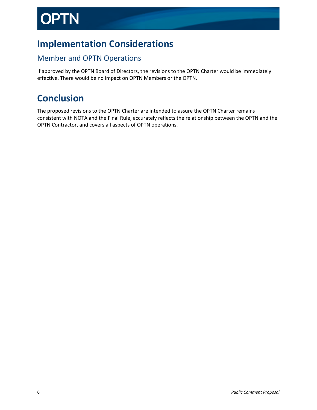# **PTN**

### **Implementation Considerations**

#### Member and OPTN Operations

If approved by the OPTN Board of Directors, the revisions to the OPTN Charter would be immediately effective. There would be no impact on OPTN Members or the OPTN.

#### **Conclusion**

The proposed revisions to the OPTN Charter are intended to assure the OPTN Charter remains consistent with NOTA and the Final Rule, accurately reflects the relationship between the OPTN and the OPTN Contractor, and covers all aspects of OPTN operations.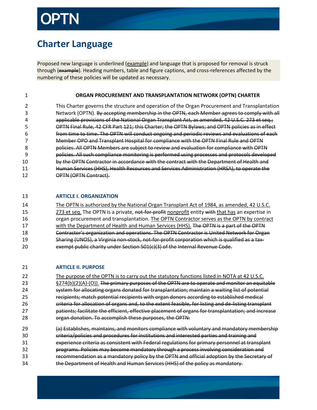### **Charter Language**

Proposed new language is underlined (example) and language that is proposed for removal is struck through (example). Heading numbers, table and figure captions, and cross-references affected by the numbering of these policies will be updated as necessary.

1 **ORGAN PROCUREMENT AND TRANSPLANTATION NETWORK (OPTN) CHARTER**

2 This Charter governs the structure and operation of the Organ Procurement and Transplantation 3 Network (OPTN). By accepting membership in the OPTN, each Member agrees to comply with all 4 applicable provisions of the National Organ Transplant Act, as amended, 42 U.S.C. 273 et seq.; 5 OPTN Final Rule, 42 CFR Part 121; this Charter; the OPTN Bylaws; and OPTN policies as in effect 6 from time to time. The OPTN will conduct ongoing and periodic reviews and evaluations of each 7 Member OPO and Transplant Hospital for compliance with the OPTN Final Rule and OPTN 8 policies. All OPTN Members are subject to review and evaluation for compliance with OPTN 9 policies. All such compliance monitoring is performed using processes and protocols developed 10 by the OPTN Contractor in accordance with the contract with the Department of Health and 11 Human Services (HHS), Health Resources and Services Administration (HRSA), to operate the 12 OPTN (OPTN Contract).

#### 13 **ARTICLE I. ORGANIZATION**

14 The OPTN is authorized by the National Organ Transplant Act of 1984, as amended, 42 U.S.C. 15 273 et seq. The OPTN is a private, not-for-profit nonprofit entity with that has an expertise in 16 organ procurement and transplantation. The OPTN Contractor serves as the OPTN by contract 17 with the Department of Health and Human Services (HHS). The OPTN is a part of the OPTN 18 **Contractor's organization and operations. The OPTN Contractor is United Network for Organ** 19 Sharing (UNOS), a Virginia non-stock, not-for-profit corporation which is qualified as a tax-20 exempt public charity under Section 501(c)(3) of the Internal Revenue Code.

#### 21 **ARTICLE II. PURPOSE**

22 The purpose of the OPTN is to carry out the statutory functions listed in NOTA at 42 U.S.C.  $\S 274(b)(2)(A)-(O)$ ). The primary purposes of the OPTN are to operate and monitor an equitable system for allocating organs donated for transplantation; maintain a waiting list of potential recipients; match potential recipients with organ donors according to established medical criteria for allocation of organs and, to the extent feasible, for listing and de-listing transplant **patients; facilitate the efficient, effective placement of organs for transplantation; and increase** organ donation. To accomplish these purposes, the OPTN:

 (a) Establishes, maintains, and monitors compliance with voluntary and mandatory membership criteria/policies and procedures for institutions and interested parties and training and experience criteria as consistent with Federal regulations for primary personnel at transplant programs. Policies may become mandatory through a process involving consideration and recommendation as a mandatory policy by the OPTN and official adoption by the Secretary of the Department of Health and Human Services (HHS) of the policy as mandatory.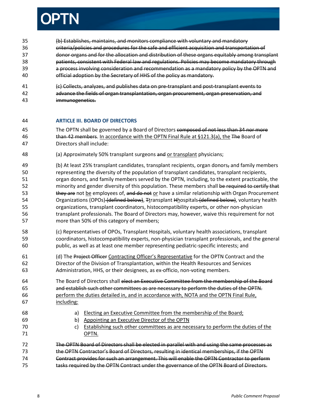

- (b) Establishes, maintains, and monitors compliance with voluntary and mandatory criteria/policies and procedures for the safe and efficient acquisition and transportation of donor organs and for the allocation and distribution of these organs equitably among transplant patients, consistent with Federal law and regulations. Policies may become mandatory through a process involving consideration and recommendation as a mandatory policy by the OPTN and official adoption by the Secretary of HHS of the policy as mandatory.
- (c) Collects, analyzes, and publishes data on pre-transplant and post-transplant events to 42 advance the fields of organ transplantation, organ procurement, organ preservation, and immunogenetics.

#### **ARTICLE III. BOARD OF DIRECTORS**

- 45 The OPTN shall be governed by a Board of Directors composed of not less than 34 nor more 46 than 42 members. In accordance with the OPTN Final Rule at §121.3(a), the The Board of Directors shall include:
- (a) Approximately 50% transplant surgeons and or transplant physicians;
- 49 (b) At least 25% transplant candidates, transplant recipients, organ donors, and family members representing the diversity of the population of transplant candidates, transplant recipients, organ donors, and family members served by the OPTN, including, to the extent practicable, the 52 minority and gender diversity of this population. These members shall be required to certify that 53 they are not be employees of, and do not or have a similar relationship with Organ Procurement 54 Organizations (OPOs) (defined below), Ttransplant Hhospitals (defined below), voluntary health organizations, transplant coordinators, histocompatibility experts, or other non-physician transplant professionals. The Board of Directors may, however, waive this requirement for not more than 50% of this category of members;
- (c) Representatives of OPOs, Transplant Hospitals, voluntary health associations, transplant coordinators, histocompatibility experts, non-physician transplant professionals, and the general public, as well as at least one member representing pediatric-specific interests; and
- 61 (d) The Project Officer Contracting Officer's Representative for the OPTN Contract and the Director of the Division of Transplantation, within the Health Resources and Services Administration, HHS, or their designees, as ex-officio, non-voting members.
- The Board of Directors shall elect an Executive Committee from the membership of the Board and establish such other committees as are necessary to perform the duties of the OPTN. perform the duties detailed in, and in accordance with, NOTA and the OPTN Final Rule, including:
- a) Electing an Executive Committee from the membership of the Board;
- b) Appointing an Executive Director of the OPTN
- 70 c) Establishing such other committees as are necessary to perform the duties of the OPTN.
- The OPTN Board of Directors shall be elected in parallel with and using the same processes as the OPTN Contractor's Board of Directors, resulting in identical memberships, if the OPTN Contract provides for such an arrangement. This will enable the OPTN Contractor to perform tasks required by the OPTN Contract under the governance of the OPTN Board of Directors.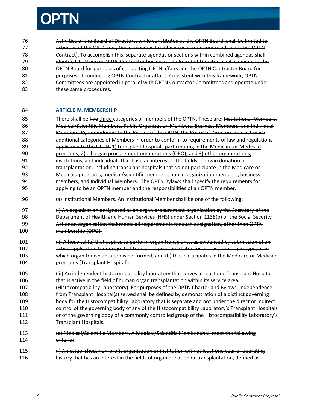# **PTN**

 Activities of the Board of Directors, while constituted as the OPTN Board, shall be limited to 77 activities of the OPTN (i.e., those activities for which costs are reimbursed under the OPTN Contract). To accomplish this, separate agendas or sections within combined agendas shall identify OPTN versus OPTN Contractor business. The Board of Directors shall convene as the **OPTN Board for purposes of conducting OPTN affairs and the OPTN Contractor Board for purposes of conducting OPTN Contractor affairs. Consistent with this framework. OPTN Committees are appointed in parallel with OPTN Contractor Committees and operate under these same procedures.** 

#### **ARTICLE IV. MEMBERSHIP**

- 85 There shall be five three categories of members of the OPTN. These are: Institutional Members, Medical/Scientific Members, Public Organization Members, Business Members, and Individual 87 Members. By amendment to the Bylaws of the OPTN, the Board of Directors may establish 88 additional categories of Members in order to conform to requirements of law and regulations **applicable to the OPTN.** 1) transplant hospitals participating in the Medicare or Medicaid programs; 2) all organ procurement organizations (OPO), and 3) other organizations, institutions, and individuals that have an interest in the fields of organ donation or transplantation, including transplant hospitals that do not participate in the Medicare or Medicaid programs, medical/scientific members, public organization members, business members, and Individual Members. The OPTN Bylaws shall specify the requirements for applying to be an OPTN member and the responsibilities of an OPTN member.
- (a) Institutional Members. An Institutional Member shall be one of the following:
- 97 (i) An organization designated as an organ procurement organization by the Secretary of the Department of Health and Human Services (HHS) under Section 1138(b) of the Social Security Act or an organization that meets all requirements for such designation, other than OPTN membership (OPO).
- 101 (ii) A hospital (a) that aspires to perform organ transplants, as evidenced by submission of an active application for designated transplant program status for at least one organ type, or in which organ transplantation is performed, and (b) that participates in the Medicare or Medicaid programs (Transplant Hospital).
- (iii) An independent histocompatibility laboratory that serves at least one Transplant Hospital that is active in the field of human organ transplantation within its service area
- (Histocompatibility Laboratory). For purposes of the OPTN Charter and Bylaws, independence from Transplant Hospital(s) served shall be defined by demonstration of a distinct governing body for the Histocompatibility Laboratory that is separate and not under the direct or indirect
- 110 control of the governing body of any of the Histocompatibility Laboratory's Transplant Hospitals 111 or of the governing body of a commonly controlled group of the Histocompatibility Laboratory's Transplant Hospitals.
- (b) Medical/Scientific Members. A Medical/Scientific Member shall meet the following criteria:
- (i) An established, non-profit organization or institution with at least one year of operating **history that has an interest in the fields of organ donation or transplantation, defined as:**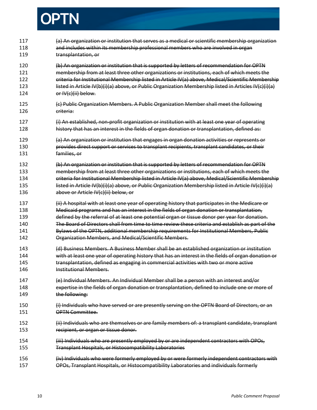

| 117<br>118<br>119               | (a) An organization or institution that serves as a medical or scientific membership organization<br>and includes within its membership professional members who are involved in organ<br>transplantation, or                                                                                                                                                                                                                   |
|---------------------------------|---------------------------------------------------------------------------------------------------------------------------------------------------------------------------------------------------------------------------------------------------------------------------------------------------------------------------------------------------------------------------------------------------------------------------------|
| 120<br>121<br>122<br>123<br>124 | (b) An organization or institution that is supported by letters of recommendation for OPTN<br>membership from at least three other organizations or institutions, each of which meets the<br>criteria for Institutional Membership listed in Article IV(a) above, Medical/Scientific Membership<br>listed in Article IV(b)(i)(a) above, or Public Organization Membership listed in Articles IV(c)(i)(a)<br>or IV(c)(ii) below. |
| 125<br>126                      | (c) Public Organization Members. A Public Organization Member shall meet the following<br><del>criteria:</del>                                                                                                                                                                                                                                                                                                                  |
| 127<br>128                      | (i) An established, non-profit organization or institution with at least one year of operating<br>history that has an interest in the fields of organ donation or transplantation, defined as:                                                                                                                                                                                                                                  |
| 129<br>130<br>131               | (a) An organization or institution that engages in organ donation activities or represents or<br>provides direct support or services to transplant recipients, transplant candidates, or their<br>families, or                                                                                                                                                                                                                  |
| 132                             | (b) An organization or institution that is supported by letters of recommendation for OPTN                                                                                                                                                                                                                                                                                                                                      |
| 133                             | membership from at least three other organizations or institutions, each of which meets the                                                                                                                                                                                                                                                                                                                                     |
| 134                             | criteria for Institutional Membership listed in Article IV(a) above, Medical/Scientific Membership                                                                                                                                                                                                                                                                                                                              |
| 135                             | listed in Article IV(b)(i)(a) above, or Public Organization Membership listed in Article IV(c)(i)(a)                                                                                                                                                                                                                                                                                                                            |
| 136                             | above or Article IV(c)(ii) below, or                                                                                                                                                                                                                                                                                                                                                                                            |
| 137                             | (ii) A hospital with at least one year of operating history that participates in the Medicare or                                                                                                                                                                                                                                                                                                                                |
| 138                             | Medicaid programs and has an interest in the fields of organ donation or transplantation,                                                                                                                                                                                                                                                                                                                                       |
| 139                             | defined by the referral of at least one potential organ or tissue donor per year for donation.                                                                                                                                                                                                                                                                                                                                  |
| 140                             | The Board of Directors shall from time to time review these criteria and establish as part of the                                                                                                                                                                                                                                                                                                                               |
| 141                             | Bylaws of the OPTN, additional membership requirements for Institutional Members, Public                                                                                                                                                                                                                                                                                                                                        |
| 142                             | Organization Members, and Medical/Scientific Members.                                                                                                                                                                                                                                                                                                                                                                           |
| 143                             | (d) Business Members. A Business Member shall be an established organization or institution                                                                                                                                                                                                                                                                                                                                     |
| 144                             | with at least one year of operating history that has an interest in the fields of organ donation or                                                                                                                                                                                                                                                                                                                             |
| 145                             | transplantation, defined as engaging in commercial activities with two or more active                                                                                                                                                                                                                                                                                                                                           |
| 146                             | <del>Institutional Members.</del>                                                                                                                                                                                                                                                                                                                                                                                               |
| 147                             | (e) Individual Members. An Individual Member shall be a person with an interest and/or                                                                                                                                                                                                                                                                                                                                          |
| 148                             | expertise in the fields of organ donation or transplantation, defined to include one or more of                                                                                                                                                                                                                                                                                                                                 |
| 149                             | the following:                                                                                                                                                                                                                                                                                                                                                                                                                  |
| 150                             | (i) Individuals who have served or are presently serving on the OPTN Board of Directors, or an                                                                                                                                                                                                                                                                                                                                  |
| 151                             | <b>OPTN Committee.</b>                                                                                                                                                                                                                                                                                                                                                                                                          |
| 152                             | (ii) Individuals who are themselves or are family members of: a transplant candidate, transplant                                                                                                                                                                                                                                                                                                                                |
| 153                             | recipient, or organ or tissue donor.                                                                                                                                                                                                                                                                                                                                                                                            |
| 154                             | (iii) Individuals who are presently employed by or are independent contractors with OPOs,                                                                                                                                                                                                                                                                                                                                       |
| 155                             | Transplant Hospitals, or Histocompatibility Laboratories                                                                                                                                                                                                                                                                                                                                                                        |
| 156<br>157                      | (iv) Individuals who were formerly employed by or were formerly independent contractors with<br>OPOs, Transplant Hospitals, or Histocompatibility Laboratories and individuals formerly                                                                                                                                                                                                                                         |